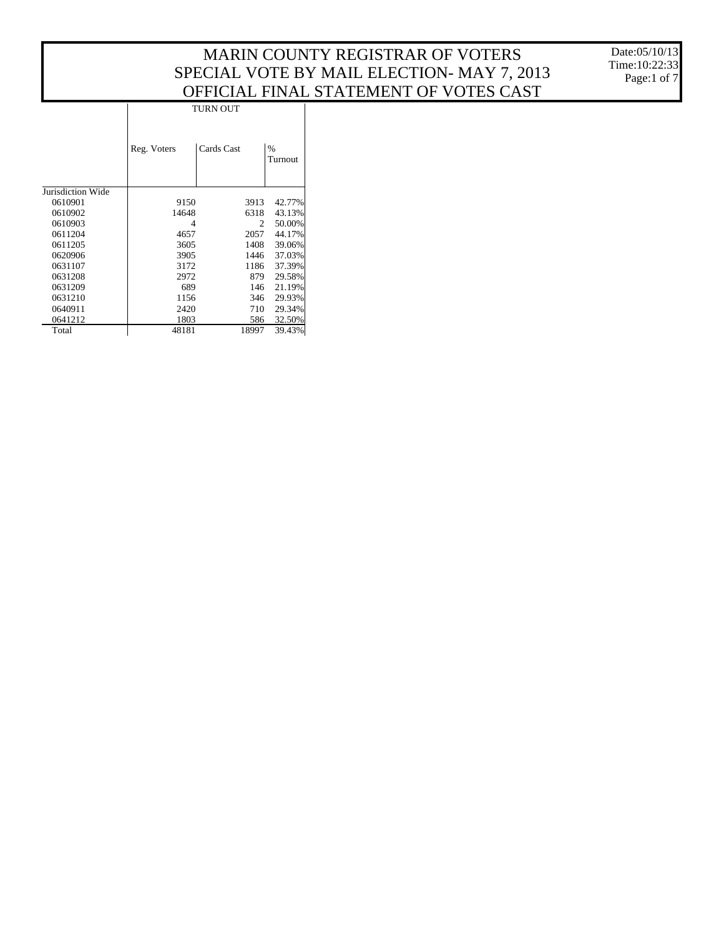Date:05/10/13 Time:10:22:33 Page:1 of 7

| <b>TURN OUT</b> |            |                                                                                                                                                                            |  |  |  |  |
|-----------------|------------|----------------------------------------------------------------------------------------------------------------------------------------------------------------------------|--|--|--|--|
| Reg. Voters     | Cards Cast | $\%$<br>Turnout                                                                                                                                                            |  |  |  |  |
|                 |            |                                                                                                                                                                            |  |  |  |  |
|                 |            | 42.77%                                                                                                                                                                     |  |  |  |  |
|                 |            | 43.13%                                                                                                                                                                     |  |  |  |  |
| 4               |            | 50.00%                                                                                                                                                                     |  |  |  |  |
| 4657            |            | 44.17%                                                                                                                                                                     |  |  |  |  |
| 3605            |            | 39.06%                                                                                                                                                                     |  |  |  |  |
| 3905            |            | 37.03%                                                                                                                                                                     |  |  |  |  |
|                 |            | 37.39%                                                                                                                                                                     |  |  |  |  |
|                 |            | 29.58%                                                                                                                                                                     |  |  |  |  |
|                 |            | 21.19%                                                                                                                                                                     |  |  |  |  |
|                 |            | 29.93%                                                                                                                                                                     |  |  |  |  |
|                 |            | 29.34%                                                                                                                                                                     |  |  |  |  |
|                 |            | 32.50%                                                                                                                                                                     |  |  |  |  |
| 48181           |            | 39.43%                                                                                                                                                                     |  |  |  |  |
|                 |            | 9150<br>3913<br>14648<br>6318<br>$\mathfrak{D}$<br>2057<br>1408<br>1446<br>3172<br>1186<br>2972<br>879<br>689<br>146<br>1156<br>346<br>2420<br>710<br>1803<br>586<br>18997 |  |  |  |  |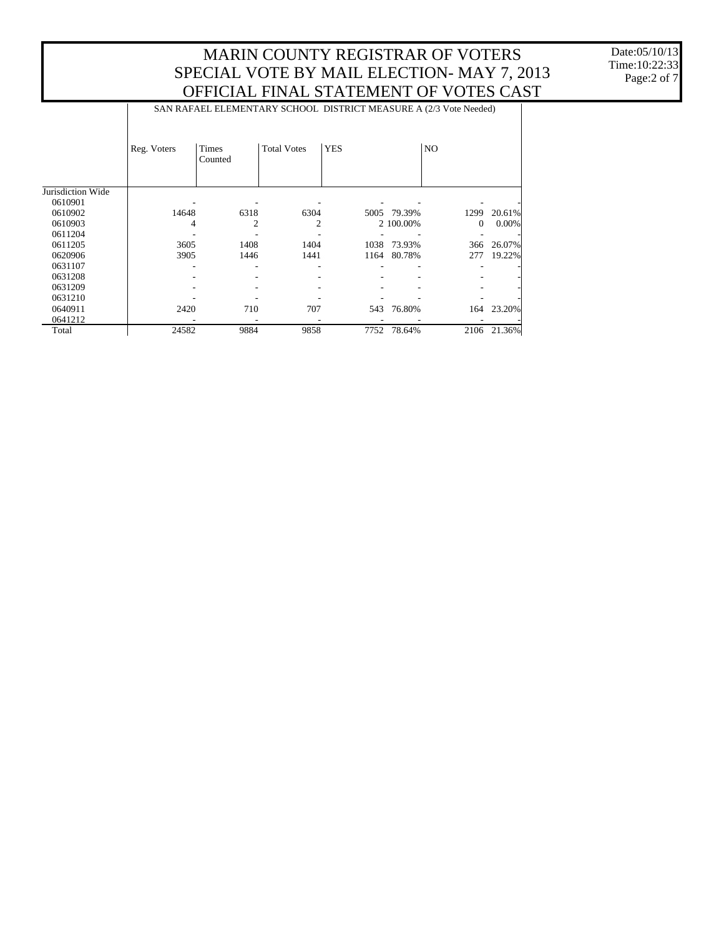|                   | SAN RAFAEL ELEMENTARY SCHOOL DISTRICT MEASURE A (2/3 Vote Needed) |                         |                    |            |           |                |          |  |  |
|-------------------|-------------------------------------------------------------------|-------------------------|--------------------|------------|-----------|----------------|----------|--|--|
|                   | Reg. Voters                                                       | <b>Times</b><br>Counted | <b>Total Votes</b> | <b>YES</b> |           | N <sub>O</sub> |          |  |  |
| Jurisdiction Wide |                                                                   |                         |                    |            |           |                |          |  |  |
| 0610901           |                                                                   |                         |                    |            |           |                |          |  |  |
| 0610902           | 14648                                                             | 6318                    | 6304               | 5005       | 79.39%    | 1299           | 20.61%   |  |  |
| 0610903           | 4                                                                 | $\overline{c}$          | 2                  |            | 2 100.00% | $\mathbf{0}$   | $0.00\%$ |  |  |
| 0611204           |                                                                   |                         |                    |            |           |                |          |  |  |
| 0611205           | 3605                                                              | 1408                    | 1404               | 1038       | 73.93%    | 366            | 26.07%   |  |  |
| 0620906           | 3905                                                              | 1446                    | 1441               | 1164       | 80.78%    | 277            | 19.22%   |  |  |
| 0631107           |                                                                   |                         |                    |            |           |                |          |  |  |
| 0631208           |                                                                   |                         |                    |            |           |                |          |  |  |
| 0631209           |                                                                   |                         |                    |            |           |                |          |  |  |
| 0631210           |                                                                   |                         |                    |            |           |                |          |  |  |
| 0640911           | 2420                                                              | 710                     | 707                | 543        | 76.80%    | 164            | 23.20%   |  |  |
| 0641212           |                                                                   |                         |                    |            |           |                |          |  |  |
| Total             | 24582                                                             | 9884                    | 9858               | 7752       | 78.64%    | 2106           | 21.36%   |  |  |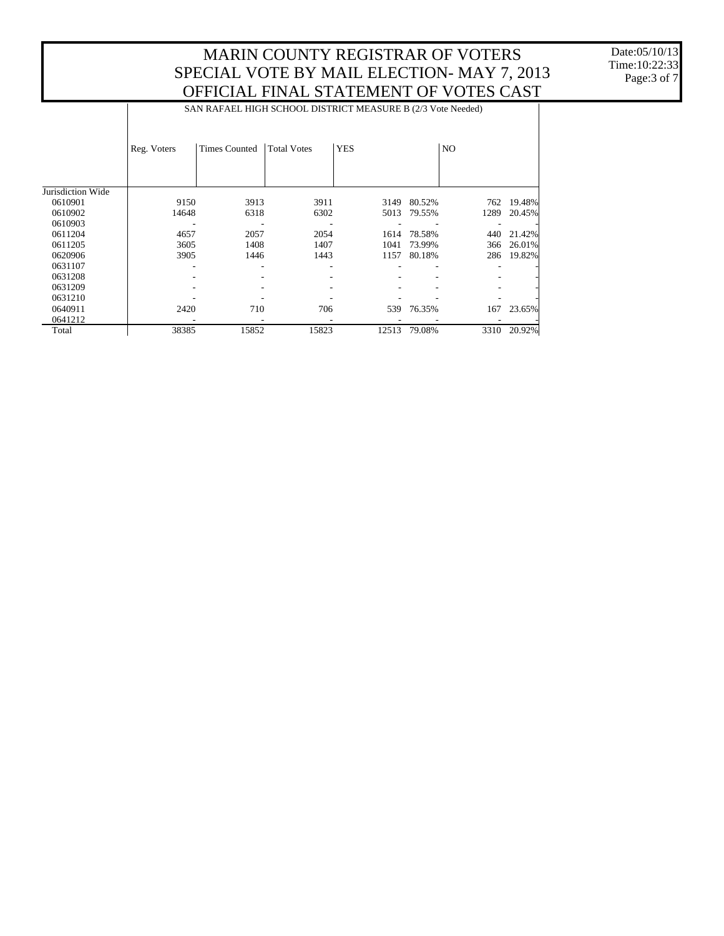SAN RAFAEL HIGH SCHOOL DISTRICT MEASURE B (2/3 Vote Needed)

|                   | Reg. Voters | <b>Times Counted</b> | <b>Total Votes</b> | <b>YES</b> |        | N <sub>O</sub> |        |
|-------------------|-------------|----------------------|--------------------|------------|--------|----------------|--------|
|                   |             |                      |                    |            |        |                |        |
| Jurisdiction Wide |             |                      |                    |            |        |                |        |
| 0610901           | 9150        | 3913                 | 3911               | 3149       | 80.52% | 762            | 19.48% |
| 0610902           | 14648       | 6318                 | 6302               | 5013       | 79.55% | 1289           | 20.45% |
| 0610903           |             |                      |                    |            |        |                |        |
| 0611204           | 4657        | 2057                 | 2054               | 1614       | 78.58% | 440            | 21.42% |
| 0611205           | 3605        | 1408                 | 1407               | 1041       | 73.99% | 366            | 26.01% |
| 0620906           | 3905        | 1446                 | 1443               | 1157       | 80.18% | 286            | 19.82% |
| 0631107           |             |                      |                    |            |        |                |        |
| 0631208           |             |                      |                    |            |        |                |        |
| 0631209           |             |                      |                    |            |        |                |        |
| 0631210           |             |                      |                    |            |        |                |        |
| 0640911           | 2420        | 710                  | 706                | 539        | 76.35% | 167            | 23.65% |
| 0641212           |             |                      |                    |            |        |                |        |
| Total             | 38385       | 15852                | 15823              | 12513      | 79.08% | 3310           | 20.92% |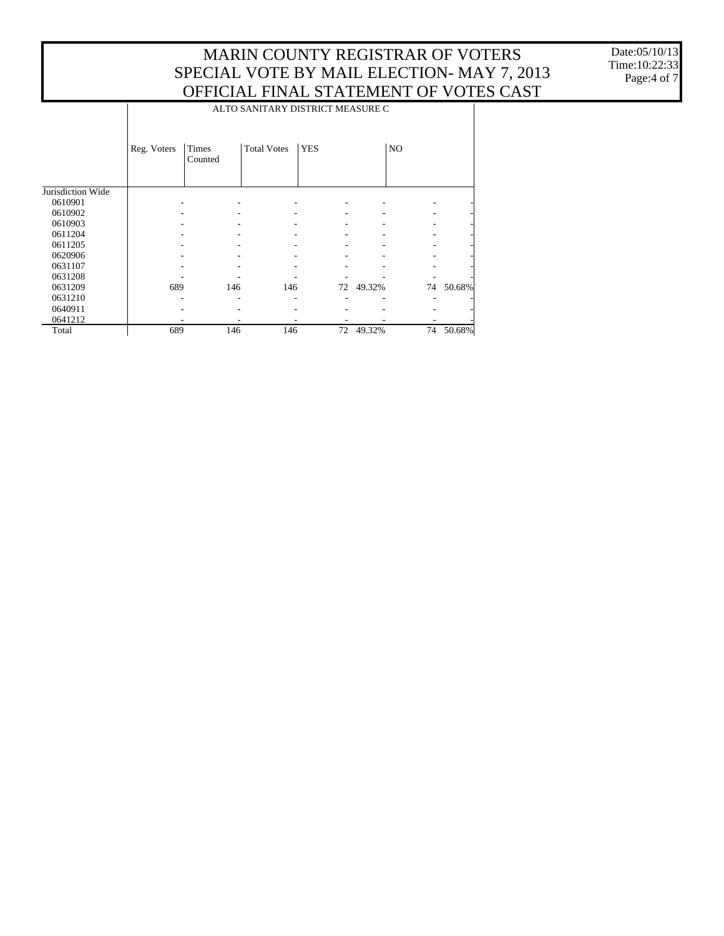Date:05/10/13 Time:10:22:33 Page:4 of 7

|                   | ALTO SANITARY DISTRICT MEASURE C |                  |                    |            |        |                |        |  |  |
|-------------------|----------------------------------|------------------|--------------------|------------|--------|----------------|--------|--|--|
|                   | Reg. Voters                      | Times<br>Counted | <b>Total Votes</b> | <b>YES</b> |        | N <sub>O</sub> |        |  |  |
| Jurisdiction Wide |                                  |                  |                    |            |        |                |        |  |  |
| 0610901           |                                  |                  |                    |            |        |                |        |  |  |
| 0610902           |                                  |                  |                    |            |        |                |        |  |  |
| 0610903           |                                  |                  |                    |            |        |                |        |  |  |
| 0611204           |                                  |                  |                    |            |        |                |        |  |  |
| 0611205           |                                  |                  |                    |            |        |                |        |  |  |
| 0620906           |                                  |                  |                    |            |        |                |        |  |  |
| 0631107           |                                  |                  |                    |            |        |                |        |  |  |
| 0631208           |                                  |                  |                    |            |        |                |        |  |  |
| 0631209           | 689                              | 146              | 146                | 72         | 49.32% | 74             | 50.68% |  |  |
| 0631210           |                                  |                  |                    |            |        |                |        |  |  |
| 0640911           |                                  |                  |                    |            |        |                |        |  |  |
| 0641212           |                                  |                  |                    |            |        |                |        |  |  |
| Total             | 689                              | 146              | 146                | 72         | 49.32% | 74             | 50.68% |  |  |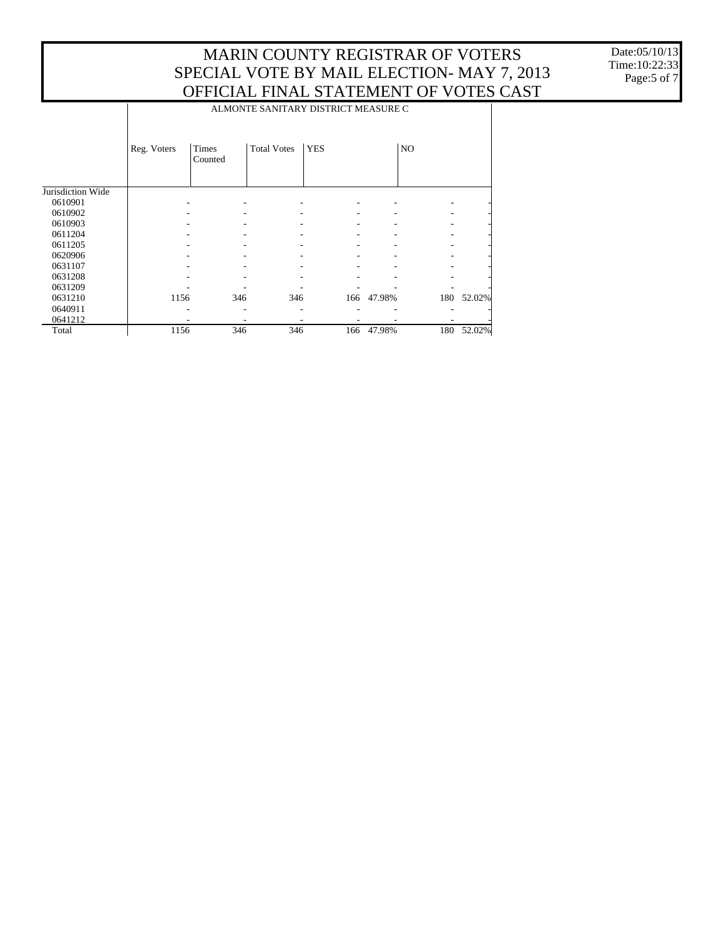Date:05/10/13 Time:10:22:33 Page:5 of 7

|                   |                                     | $\mathbf{v}$<br>, , , , , , |                    |            |        |                |        |  |
|-------------------|-------------------------------------|-----------------------------|--------------------|------------|--------|----------------|--------|--|
|                   | ALMONTE SANITARY DISTRICT MEASURE C |                             |                    |            |        |                |        |  |
|                   | Reg. Voters                         | <b>Times</b><br>Counted     | <b>Total Votes</b> | <b>YES</b> |        | N <sub>O</sub> |        |  |
|                   |                                     |                             |                    |            |        |                |        |  |
| Jurisdiction Wide |                                     |                             |                    |            |        |                |        |  |
| 0610901           |                                     |                             |                    |            |        |                |        |  |
| 0610902           |                                     |                             |                    |            |        |                |        |  |
| 0610903           |                                     |                             |                    |            |        |                |        |  |
| 0611204           |                                     |                             |                    |            |        |                |        |  |
| 0611205           |                                     |                             |                    |            |        |                |        |  |
| 0620906           |                                     |                             |                    |            |        |                |        |  |
| 0631107           |                                     |                             |                    |            |        |                |        |  |
| 0631208           |                                     |                             |                    |            |        |                |        |  |
| 0631209           |                                     |                             |                    |            |        |                |        |  |
| 0631210           | 1156                                | 346                         | 346                | 166        | 47.98% | 180            | 52.02% |  |
| 0640911           |                                     |                             |                    |            |        |                |        |  |
| 0641212           |                                     |                             |                    |            |        |                |        |  |
| Total             | 1156                                | 346                         | 346                | 166        | 47.98% | 180            | 52.02% |  |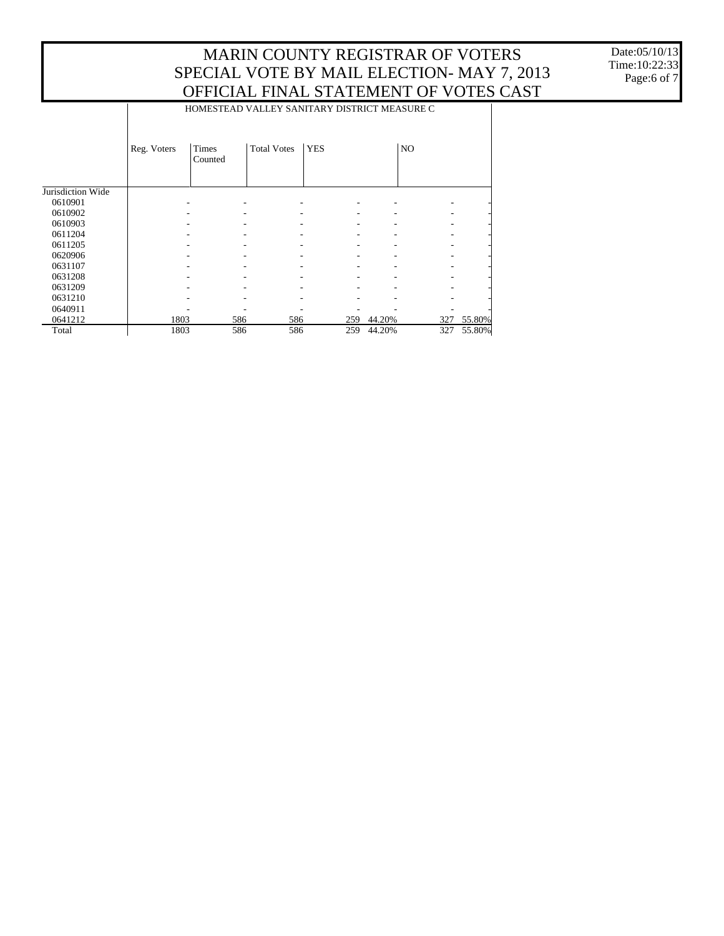Date:05/10/13 Time:10:22:33 Page:6 of 7

|                   |             | oi i icii il i ii ii il b i i i i liitili i i<br>◡▴ |                    |            |                |     |        |  |  |  |
|-------------------|-------------|-----------------------------------------------------|--------------------|------------|----------------|-----|--------|--|--|--|
|                   |             | HOMESTEAD VALLEY SANITARY DISTRICT MEASURE C        |                    |            |                |     |        |  |  |  |
|                   | Reg. Voters | Times<br>Counted                                    | <b>Total Votes</b> | <b>YES</b> | N <sub>O</sub> |     |        |  |  |  |
|                   |             |                                                     |                    |            |                |     |        |  |  |  |
| Jurisdiction Wide |             |                                                     |                    |            |                |     |        |  |  |  |
| 0610901           |             |                                                     |                    |            |                |     |        |  |  |  |
| 0610902           |             |                                                     |                    |            |                |     |        |  |  |  |
| 0610903           |             |                                                     |                    |            |                |     |        |  |  |  |
| 0611204           |             |                                                     |                    |            |                |     |        |  |  |  |
| 0611205           |             |                                                     |                    |            |                |     |        |  |  |  |
| 0620906           |             |                                                     |                    |            |                |     |        |  |  |  |
| 0631107           |             |                                                     |                    |            |                |     |        |  |  |  |
| 0631208           |             |                                                     |                    |            |                |     |        |  |  |  |
| 0631209           |             |                                                     |                    |            |                |     |        |  |  |  |
| 0631210           |             |                                                     |                    |            |                |     |        |  |  |  |
| 0640911           |             |                                                     |                    |            |                |     |        |  |  |  |
| 0641212           | 1803        | 586                                                 | 586                | 259        | 44.20%         | 327 | 55.80% |  |  |  |
| Total             | 1803        | 586                                                 | 586                | 259        | 44.20%         | 327 | 55.80% |  |  |  |